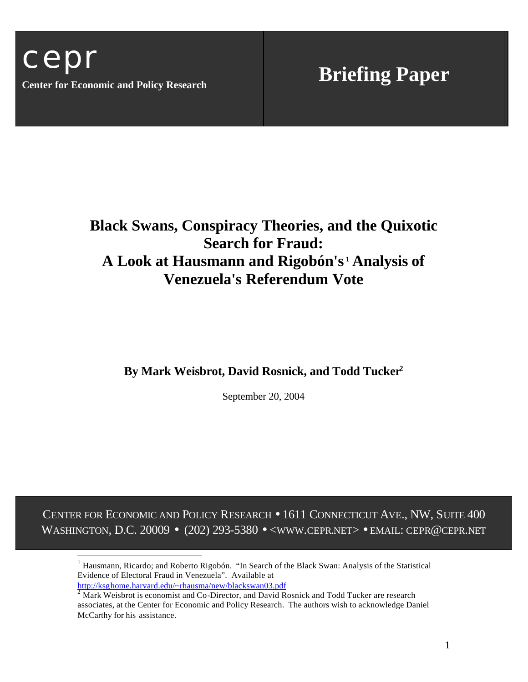$\overline{a}$ 

# **Black Swans, Conspiracy Theories, and the Quixotic Search for Fraud: A Look at Hausmann and Rigobón's <sup>1</sup> Analysis of Venezuela's Referendum Vote**

## **By Mark Weisbrot, David Rosnick, and Todd Tucker<sup>2</sup>**

September 20, 2004

CENTER FOR ECONOMIC AND POLICY RESEARCH • 1611 CONNECTICUT AVE., NW, SUITE 400 WASHINGTON, D.C. 20009 • (202) 293-5380 • <www.cepr.net> • EMAIL: CEPR@CEPR.net

<sup>&</sup>lt;sup>1</sup> Hausmann, Ricardo; and Roberto Rigobón. "In Search of the Black Swan: Analysis of the Statistical Evidence of Electoral Fraud in Venezuela". Available at http://ksghome.harvard.edu/~rhausma/new/blackswan03.pdf

 $2 \text{ Mark Weisbrot is economist and Co-Director, and David Rosnick and Todd Tucker are research.}$ associates, at the Center for Economic and Policy Research. The authors wish to acknowledge Daniel McCarthy for his assistance.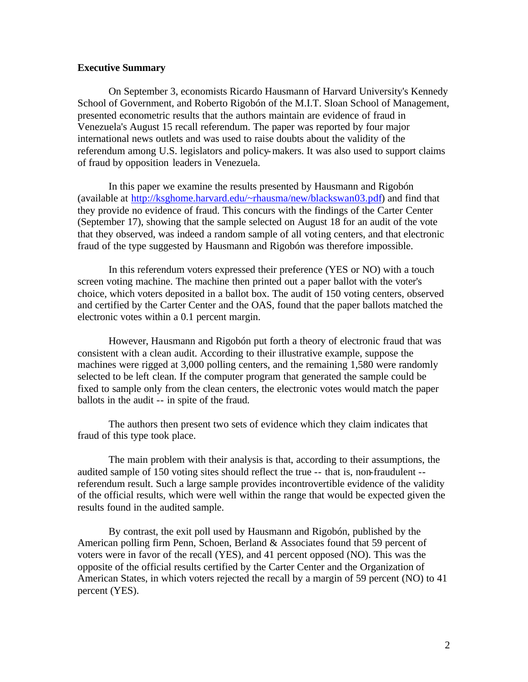#### **Executive Summary**

On September 3, economists Ricardo Hausmann of Harvard University's Kennedy School of Government, and Roberto Rigobón of the M.I.T. Sloan School of Management, presented econometric results that the authors maintain are evidence of fraud in Venezuela's August 15 recall referendum. The paper was reported by four major international news outlets and was used to raise doubts about the validity of the referendum among U.S. legislators and policy-makers. It was also used to support claims of fraud by opposition leaders in Venezuela.

In this paper we examine the results presented by Hausmann and Rigobón (available at http://ksghome.harvard.edu/~rhausma/new/blackswan03.pdf) and find that they provide no evidence of fraud. This concurs with the findings of the Carter Center (September 17), showing that the sample selected on August 18 for an audit of the vote that they observed, was indeed a random sample of all voting centers, and that electronic fraud of the type suggested by Hausmann and Rigobón was therefore impossible.

In this referendum voters expressed their preference (YES or NO) with a touch screen voting machine. The machine then printed out a paper ballot with the voter's choice, which voters deposited in a ballot box. The audit of 150 voting centers, observed and certified by the Carter Center and the OAS, found that the paper ballots matched the electronic votes within a 0.1 percent margin.

However, Hausmann and Rigobón put forth a theory of electronic fraud that was consistent with a clean audit. According to their illustrative example, suppose the machines were rigged at 3,000 polling centers, and the remaining 1,580 were randomly selected to be left clean. If the computer program that generated the sample could be fixed to sample only from the clean centers, the electronic votes would match the paper ballots in the audit -- in spite of the fraud.

The authors then present two sets of evidence which they claim indicates that fraud of this type took place.

The main problem with their analysis is that, according to their assumptions, the audited sample of 150 voting sites should reflect the true -- that is, non-fraudulent - referendum result. Such a large sample provides incontrovertible evidence of the validity of the official results, which were well within the range that would be expected given the results found in the audited sample.

By contrast, the exit poll used by Hausmann and Rigobón, published by the American polling firm Penn, Schoen, Berland & Associates found that 59 percent of voters were in favor of the recall (YES), and 41 percent opposed (NO). This was the opposite of the official results certified by the Carter Center and the Organization of American States, in which voters rejected the recall by a margin of 59 percent (NO) to 41 percent (YES).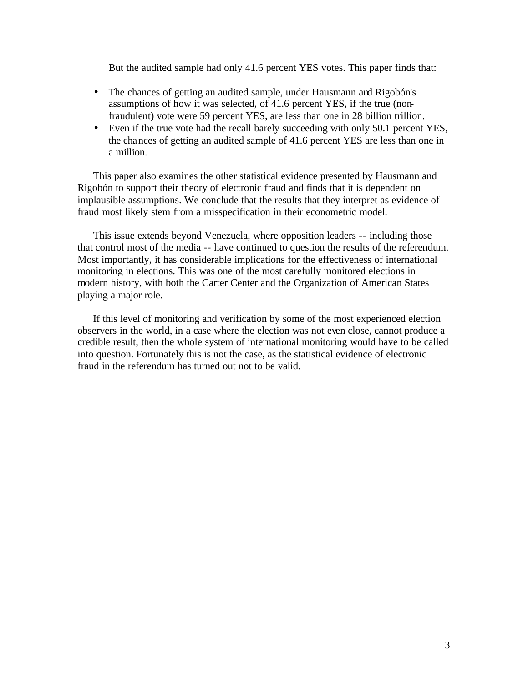But the audited sample had only 41.6 percent YES votes. This paper finds that:

- The chances of getting an audited sample, under Hausmann and Rigobón's assumptions of how it was selected, of 41.6 percent YES, if the true (nonfraudulent) vote were 59 percent YES, are less than one in 28 billion trillion.
- Even if the true vote had the recall barely succeeding with only 50.1 percent YES, the chances of getting an audited sample of 41.6 percent YES are less than one in a million.

This paper also examines the other statistical evidence presented by Hausmann and Rigobón to support their theory of electronic fraud and finds that it is dependent on implausible assumptions. We conclude that the results that they interpret as evidence of fraud most likely stem from a misspecification in their econometric model.

This issue extends beyond Venezuela, where opposition leaders -- including those that control most of the media -- have continued to question the results of the referendum. Most importantly, it has considerable implications for the effectiveness of international monitoring in elections. This was one of the most carefully monitored elections in modern history, with both the Carter Center and the Organization of American States playing a major role.

If this level of monitoring and verification by some of the most experienced election observers in the world, in a case where the election was not even close, cannot produce a credible result, then the whole system of international monitoring would have to be called into question. Fortunately this is not the case, as the statistical evidence of electronic fraud in the referendum has turned out not to be valid.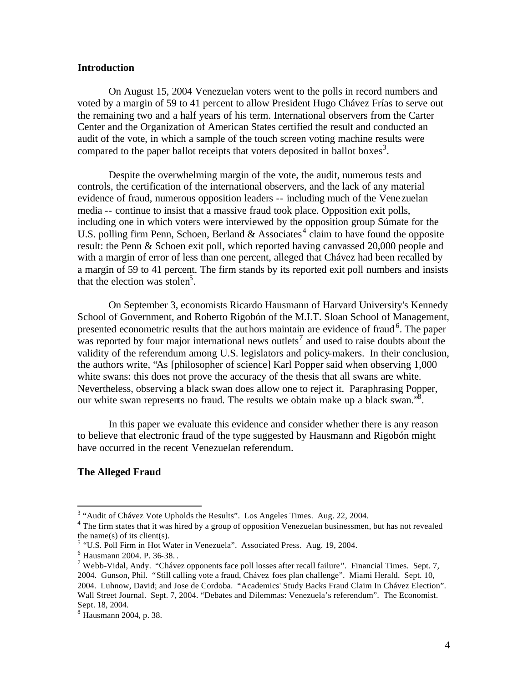#### **Introduction**

On August 15, 2004 Venezuelan voters went to the polls in record numbers and voted by a margin of 59 to 41 percent to allow President Hugo Chávez Frías to serve out the remaining two and a half years of his term. International observers from the Carter Center and the Organization of American States certified the result and conducted an audit of the vote, in which a sample of the touch screen voting machine results were compared to the paper ballot receipts that voters deposited in ballot boxes<sup>3</sup>.

Despite the overwhelming margin of the vote, the audit, numerous tests and controls, the certification of the international observers, and the lack of any material evidence of fraud, numerous opposition leaders -- including much of the Vene zuelan media -- continue to insist that a massive fraud took place. Opposition exit polls, including one in which voters were interviewed by the opposition group Súmate for the U.S. polling firm Penn, Schoen, Berland & Associates<sup>4</sup> claim to have found the opposite result: the Penn & Schoen exit poll, which reported having canvassed 20,000 people and with a margin of error of less than one percent, alleged that Chávez had been recalled by a margin of 59 to 41 percent. The firm stands by its reported exit poll numbers and insists that the election was stolen<sup>5</sup>.

On September 3, economists Ricardo Hausmann of Harvard University's Kennedy School of Government, and Roberto Rigobón of the M.I.T. Sloan School of Management, presented econometric results that the authors maintain are evidence of fraud<sup>6</sup>. The paper was reported by four major international news outlets<sup>7</sup> and used to raise doubts about the validity of the referendum among U.S. legislators and policy-makers. In their conclusion, the authors write, "As [philosopher of science] Karl Popper said when observing 1,000 white swans: this does not prove the accuracy of the thesis that all swans are white. Nevertheless, observing a black swan does allow one to reject it. Paraphrasing Popper, our white swan represents no fraud. The results we obtain make up a black swan.<sup>8</sup>.

In this paper we evaluate this evidence and consider whether there is any reason to believe that electronic fraud of the type suggested by Hausmann and Rigobón might have occurred in the recent Venezuelan referendum.

#### **The Alleged Fraud**

 $3$  "Audit of Chávez Vote Upholds the Results". Los Angeles Times. Aug. 22, 2004.

<sup>&</sup>lt;sup>4</sup> The firm states that it was hired by a group of opposition Venezuelan businessmen, but has not revealed the name(s) of its client(s).

<sup>&</sup>lt;sup>5</sup> "U.S. Poll Firm in Hot Water in Venezuela". Associated Press. Aug. 19, 2004.

<sup>6</sup> Hausmann 2004. P. 36-38. .

<sup>&</sup>lt;sup>7</sup> Webb-Vidal, Andy. "Chávez opponents face poll losses after recall failure". Financial Times. Sept. 7, 2004. Gunson, Phil. "Still calling vote a fraud, Chávez foes plan challenge". Miami Herald. Sept. 10, 2004. Luhnow, David; and Jose de Cordoba. "Academics' Study Backs Fraud Claim In Chávez Election". Wall Street Journal. Sept. 7, 2004. "Debates and Dilemmas: Venezuela's referendum". The Economist. Sept. 18, 2004.

<sup>8</sup> Hausmann 2004, p. 38.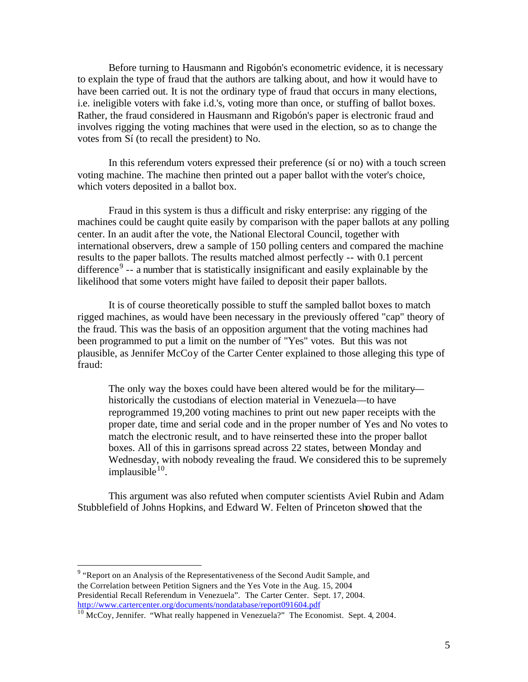Before turning to Hausmann and Rigobón's econometric evidence, it is necessary to explain the type of fraud that the authors are talking about, and how it would have to have been carried out. It is not the ordinary type of fraud that occurs in many elections, i.e. ineligible voters with fake i.d.'s, voting more than once, or stuffing of ballot boxes. Rather, the fraud considered in Hausmann and Rigobón's paper is electronic fraud and involves rigging the voting machines that were used in the election, so as to change the votes from Sí (to recall the president) to No.

In this referendum voters expressed their preference (sí or no) with a touch screen voting machine. The machine then printed out a paper ballot with the voter's choice, which voters deposited in a ballot box.

Fraud in this system is thus a difficult and risky enterprise: any rigging of the machines could be caught quite easily by comparison with the paper ballots at any polling center. In an audit after the vote, the National Electoral Council, together with international observers, drew a sample of 150 polling centers and compared the machine results to the paper ballots. The results matched almost perfectly -- with 0.1 percent difference<sup>9</sup> -- a number that is statistically insignificant and easily explainable by the likelihood that some voters might have failed to deposit their paper ballots.

It is of course theoretically possible to stuff the sampled ballot boxes to match rigged machines, as would have been necessary in the previously offered "cap" theory of the fraud. This was the basis of an opposition argument that the voting machines had been programmed to put a limit on the number of "Yes" votes. But this was not plausible, as Jennifer McCoy of the Carter Center explained to those alleging this type of fraud:

The only way the boxes could have been altered would be for the military historically the custodians of election material in Venezuela—to have reprogrammed 19,200 voting machines to print out new paper receipts with the proper date, time and serial code and in the proper number of Yes and No votes to match the electronic result, and to have reinserted these into the proper ballot boxes. All of this in garrisons spread across 22 states, between Monday and Wednesday, with nobody revealing the fraud. We considered this to be supremely  $impl a <sup>10</sup>$ .

This argument was also refuted when computer scientists Aviel Rubin and Adam Stubblefield of Johns Hopkins, and Edward W. Felten of Princeton showed that the

<sup>&</sup>lt;sup>9</sup> "Report on an Analysis of the Representativeness of the Second Audit Sample, and the Correlation between Petition Signers and the Yes Vote in the Aug. 15, 2004 Presidential Recall Referendum in Venezuela". The Carter Center. Sept. 17, 2004. http://www.cartercenter.org/documents/nondatabase/report091604.pdf

 $10$  McCoy, Jennifer. "What really happened in Venezuela?" The Economist. Sept. 4, 2004.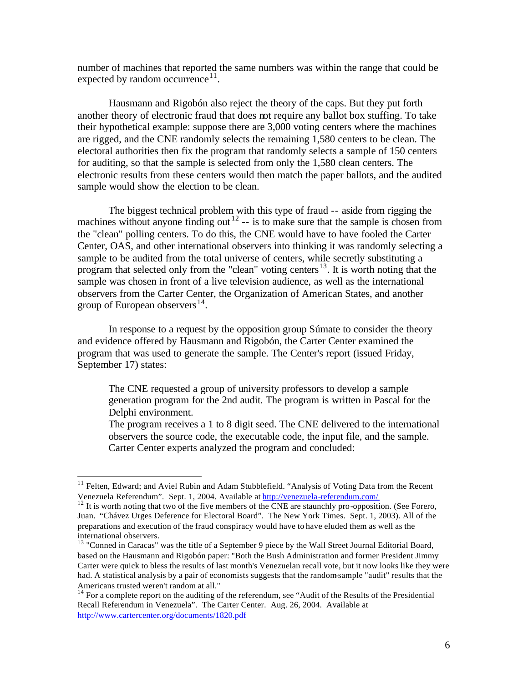number of machines that reported the same numbers was within the range that could be expected by random occurrence $11$ .

Hausmann and Rigobón also reject the theory of the caps. But they put forth another theory of electronic fraud that does not require any ballot box stuffing. To take their hypothetical example: suppose there are 3,000 voting centers where the machines are rigged, and the CNE randomly selects the remaining 1,580 centers to be clean. The electoral authorities then fix the program that randomly selects a sample of 150 centers for auditing, so that the sample is selected from only the 1,580 clean centers. The electronic results from these centers would then match the paper ballots, and the audited sample would show the election to be clean.

The biggest technical problem with this type of fraud -- aside from rigging the machines without anyone finding out<sup>12</sup> -- is to make sure that the sample is chosen from the "clean" polling centers. To do this, the CNE would have to have fooled the Carter Center, OAS, and other international observers into thinking it was randomly selecting a sample to be audited from the total universe of centers, while secretly substituting a program that selected only from the "clean" voting centers<sup>13</sup>. It is worth noting that the sample was chosen in front of a live television audience, as well as the international observers from the Carter Center, the Organization of American States, and another group of European observers  $14$ .

In response to a request by the opposition group Súmate to consider the theory and evidence offered by Hausmann and Rigobón, the Carter Center examined the program that was used to generate the sample. The Center's report (issued Friday, September 17) states:

The CNE requested a group of university professors to develop a sample generation program for the 2nd audit. The program is written in Pascal for the Delphi environment.

The program receives a 1 to 8 digit seed. The CNE delivered to the international observers the source code, the executable code, the input file, and the sample. Carter Center experts analyzed the program and concluded:

<sup>&</sup>lt;sup>11</sup> Felten, Edward; and Aviel Rubin and Adam Stubblefield. "Analysis of Voting Data from the Recent Venezuela Referendum". Sept. 1, 2004. Available at http://venezuela-referendum.com/

 $12$  It is worth noting that two of the five members of the CNE are staunchly pro-opposition. (See Forero, Juan. "Chávez Urges Deference for Electoral Board". The New York Times. Sept. 1, 2003). All of the preparations and execution of the fraud conspiracy would have to have eluded them as well as the international observers.

<sup>&</sup>lt;sup>13</sup> "Conned in Caracas" was the title of a September 9 piece by the Wall Street Journal Editorial Board, based on the Hausmann and Rigobón paper: "Both the Bush Administration and former President Jimmy Carter were quick to bless the results of last month's Venezuelan recall vote, but it now looks like they were had. A statistical analysis by a pair of economists suggests that the random-sample "audit" results that the Americans trusted weren't random at all."

<sup>&</sup>lt;sup>14</sup> For a complete report on the auditing of the referendum, see "Audit of the Results of the Presidential Recall Referendum in Venezuela". The Carter Center. Aug. 26, 2004. Available at http://www.cartercenter.org/documents/1820.pdf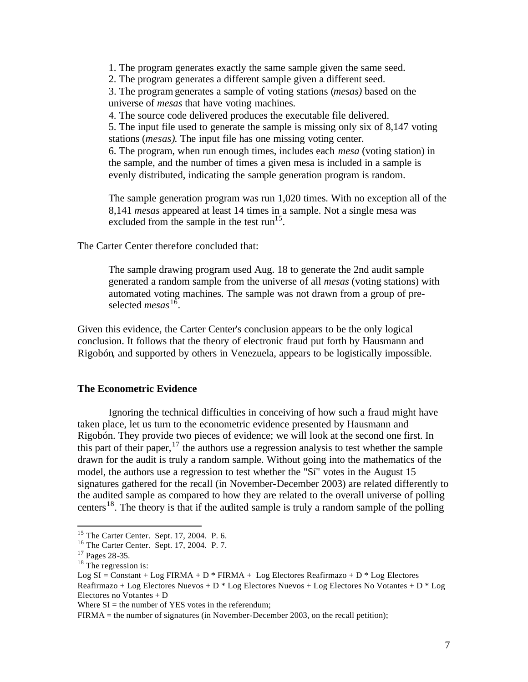1. The program generates exactly the same sample given the same seed.

2. The program generates a different sample given a different seed.

3. The program generates a sample of voting stations (*mesas)* based on the universe of *mesas* that have voting machines.

4. The source code delivered produces the executable file delivered.

5. The input file used to generate the sample is missing only six of 8,147 voting stations (*mesas)*. The input file has one missing voting center.

6. The program, when run enough times, includes each *mesa* (voting station) in the sample, and the number of times a given mesa is included in a sample is evenly distributed, indicating the sample generation program is random.

The sample generation program was run 1,020 times. With no exception all of the 8,141 *mesas* appeared at least 14 times in a sample. Not a single mesa was excluded from the sample in the test  $run^{15}$ .

The Carter Center therefore concluded that:

The sample drawing program used Aug. 18 to generate the 2nd audit sample generated a random sample from the universe of all *mesas* (voting stations) with automated voting machines. The sample was not drawn from a group of preselected *mesas*<sup>16</sup>.

Given this evidence, the Carter Center's conclusion appears to be the only logical conclusion. It follows that the theory of electronic fraud put forth by Hausmann and Rigobón, and supported by others in Venezuela, appears to be logistically impossible.

#### **The Econometric Evidence**

Ignoring the technical difficulties in conceiving of how such a fraud might have taken place, let us turn to the econometric evidence presented by Hausmann and Rigobón. They provide two pieces of evidence; we will look at the second one first. In this part of their paper,  $17$  the authors use a regression analysis to test whether the sample drawn for the audit is truly a random sample. Without going into the mathematics of the model, the authors use a regression to test whether the "Sí" votes in the August 15 signatures gathered for the recall (in November-December 2003) are related differently to the audited sample as compared to how they are related to the overall universe of polling centers<sup>18</sup>. The theory is that if the audited sample is truly a random sample of the polling

 $\overline{a}$ 

FIRMA = the number of signatures (in November-December 2003, on the recall petition);

<sup>15</sup> The Carter Center. Sept. 17, 2004. P. 6.

<sup>16</sup> The Carter Center. Sept. 17, 2004. P. 7.

<sup>17</sup> Pages 28-35.

 $18$  The regression is:

 $Log SI = Constant + Log FIRMA + D * FIRMA + Log Electores Reafirmazo + D * Log Electores$ Reafirmazo + Log Electores Nuevos + D \* Log Electores Nuevos + Log Electores No Votantes + D \* Log Electores no Votantes + D

Where  $SI$  = the number of YES votes in the referendum: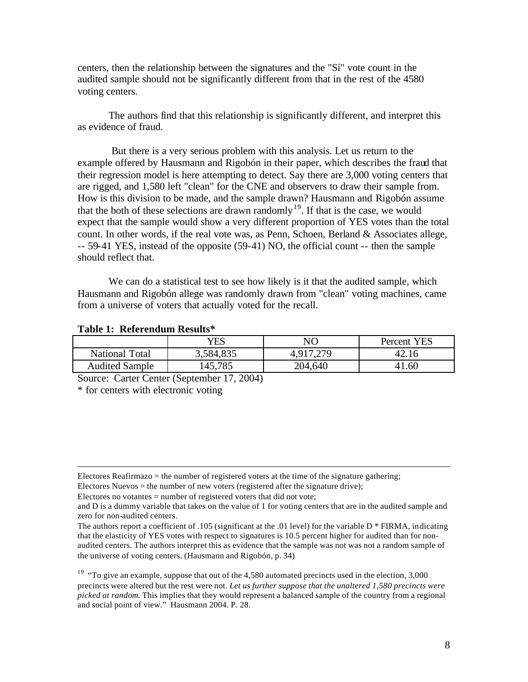centers, then the relationship between the signatures and the "Sí" vote count in the audited sample should not be significantly different from that in the rest of the 4580 voting centers.

The authors find that this relationship is significantly different, and interpret this as evidence of fraud.

 But there is a very serious problem with this analysis. Let us return to the example offered by Hausmann and Rigobón in their paper, which describes the fraud that their regression model is here attempting to detect. Say there are 3,000 voting centers that are rigged, and 1,580 left "clean" for the CNE and observers to draw their sample from. How is this division to be made, and the sample drawn? Hausmann and Rigobón assume that the both of these selections are drawn randomly<sup>19</sup>. If that is the case, we would expect that the sample would show a very different proportion of YES votes than the total count. In other words, if the real vote was, as Penn, Schoen, Berland & Associates allege, -- 59-41 YES, instead of the opposite (59-41) NO, the official count -- then the sample should reflect that.

We can do a statistical test to see how likely is it that the audited sample, which Hausmann and Rigobón allege was randomly drawn from "clean" voting machines, came from a universe of voters that actually voted for the recall.

|                       | YES       | NO        | <b>YES</b><br>Percent |
|-----------------------|-----------|-----------|-----------------------|
| <b>National Total</b> | 3,584,835 | 4,917,279 | 42.16                 |
| <b>Audited Sample</b> | 145,785   | 204,640   | 41.60                 |

#### **Table 1: Referendum Results\***

Source: Carter Center (September 17, 2004)

\* for centers with electronic voting

 $\overline{a}$ 

Electores no votantes = number of registered voters that did not vote;

Electores Reafirmazo  $=$  the number of registered voters at the time of the signature gathering; Electores Nuevos = the number of new voters (registered after the signature drive);

and D is a dummy variable that takes on the value of 1 for voting centers that are in the audited sample and zero for non-audited centers.

The authors report a coefficient of .105 (significant at the .01 level) for the variable D \* FIRMA, indicating that the elasticity of YES votes with respect to signatures is 10.5 percent higher for audited than for nonaudited centers. The authors interpret this as evidence that the sample was not was not a random sample of the universe of voting centers. (Hausmann and Rigobón, p. 34)

 $19$  "To give an example, suppose that out of the 4,580 automated precincts used in the election, 3,000 precincts were altered but the rest were not. *Let us further suppose that the unaltered 1,580 precincts were picked at random.* This implies that they would represent a balanced sample of the country from a regional and social point of view." Hausmann 2004. P. 28.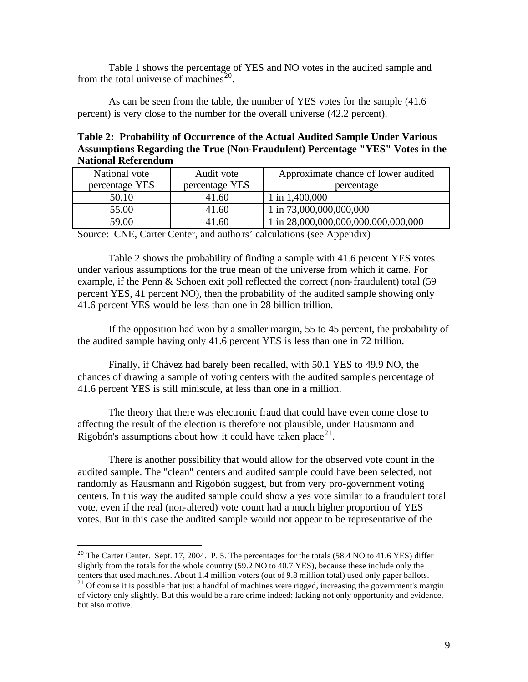Table 1 shows the percentage of YES and NO votes in the audited sample and from the total universe of machines<sup>20</sup>.

As can be seen from the table, the number of YES votes for the sample (41.6 percent) is very close to the number for the overall universe (42.2 percent).

**Table 2: Probability of Occurrence of the Actual Audited Sample Under Various Assumptions Regarding the True (Non-Fraudulent) Percentage "YES" Votes in the National Referendum**

| National vote  | Audit vote     | Approximate chance of lower audited |
|----------------|----------------|-------------------------------------|
| percentage YES | percentage YES | percentage                          |
| 50.10          | 41.60          | 1 in $1,400,000$                    |
| 55.00          | 41.60          | 1 in 73,000,000,000,000             |
| 59.00          | 41.60          | 1 in 28,000,000,000,000,000,000,000 |

Source: CNE, Carter Center, and authors' calculations (see Appendix)

Table 2 shows the probability of finding a sample with 41.6 percent YES votes under various assumptions for the true mean of the universe from which it came. For example, if the Penn & Schoen exit poll reflected the correct (non-fraudulent) total (59 percent YES, 41 percent NO), then the probability of the audited sample showing only 41.6 percent YES would be less than one in 28 billion trillion.

If the opposition had won by a smaller margin, 55 to 45 percent, the probability of the audited sample having only 41.6 percent YES is less than one in 72 trillion.

Finally, if Chávez had barely been recalled, with 50.1 YES to 49.9 NO, the chances of drawing a sample of voting centers with the audited sample's percentage of 41.6 percent YES is still miniscule, at less than one in a million.

The theory that there was electronic fraud that could have even come close to affecting the result of the election is therefore not plausible, under Hausmann and Rigobón's assumptions about how it could have taken place<sup>21</sup>.

There is another possibility that would allow for the observed vote count in the audited sample. The "clean" centers and audited sample could have been selected, not randomly as Hausmann and Rigobón suggest, but from very pro-government voting centers. In this way the audited sample could show a yes vote similar to a fraudulent total vote, even if the real (non-altered) vote count had a much higher proportion of YES votes. But in this case the audited sample would not appear to be representative of the

<sup>&</sup>lt;sup>20</sup> The Carter Center. Sept. 17, 2004. P. 5. The percentages for the totals (58.4 NO to 41.6 YES) differ slightly from the totals for the whole country (59.2 NO to 40.7 YES), because these include only the centers that used machines. About 1.4 million voters (out of 9.8 million total) used only paper ballots.

 $21$  Of course it is possible that just a handful of machines were rigged, increasing the government's margin of victory only slightly. But this would be a rare crime indeed: lacking not only opportunity and evidence, but also motive.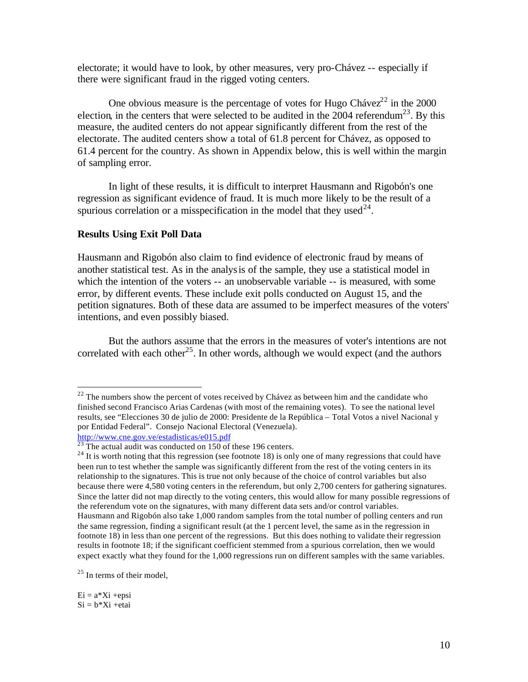electorate; it would have to look, by other measures, very pro-Chávez -- especially if there were significant fraud in the rigged voting centers.

One obvious measure is the percentage of votes for Hugo Cháve $z^{22}$  in the 2000 election, in the centers that were selected to be audited in the 2004 referendum<sup>23</sup>. By this measure, the audited centers do not appear significantly different from the rest of the electorate. The audited centers show a total of 61.8 percent for Chávez, as opposed to 61.4 percent for the country. As shown in Appendix below, this is well within the margin of sampling error.

In light of these results, it is difficult to interpret Hausmann and Rigobón's one regression as significant evidence of fraud. It is much more likely to be the result of a spurious correlation or a misspecification in the model that they used<sup>24</sup>.

#### **Results Using Exit Poll Data**

Hausmann and Rigobón also claim to find evidence of electronic fraud by means of another statistical test. As in the analysis of the sample, they use a statistical model in which the intention of the voters -- an unobservable variable -- is measured, with some error, by different events. These include exit polls conducted on August 15, and the petition signatures. Both of these data are assumed to be imperfect measures of the voters' intentions, and even possibly biased.

But the authors assume that the errors in the measures of voter's intentions are not correlated with each other<sup>25</sup>. In other words, although we would expect (and the authors

 $25$  In terms of their model,

 $Ei = a*Xi + epsi$  $Si = b*Xi +etai$ 

 $22$  The numbers show the percent of votes received by Chávez as between him and the candidate who finished second Francisco Arias Cardenas (with most of the remaining votes). To see the national level results, see "Elecciones 30 de julio de 2000: Presidente de la República – Total Votos a nivel Nacional y por Entidad Federal". Consejo Nacional Electoral (Venezuela). http://www.cne.gov.ve/estadisticas/e015.pdf

 $^{23}$  The actual audit was conducted on 150 of these 196 centers.

 $24$  It is worth noting that this regression (see footnote 18) is only one of many regressions that could have been run to test whether the sample was significantly different from the rest of the voting centers in its relationship to the signatures. This is true not only because of the choice of control variables but also because there were 4,580 voting centers in the referendum, but only 2,700 centers for gathering signatures. Since the latter did not map directly to the voting centers, this would allow for many possible regressions of the referendum vote on the signatures, with many different data sets and/or control variables. Hausmann and Rigobón also take 1,000 random samples from the total number of polling centers and run the same regression, finding a significant result (at the 1 percent level, the same as in the regression in footnote 18) in less than one percent of the regressions. But this does nothing to validate their regression results in footnote 18; if the significant coefficient stemmed from a spurious correlation, then we would expect exactly what they found for the 1,000 regressions run on different samples with the same variables.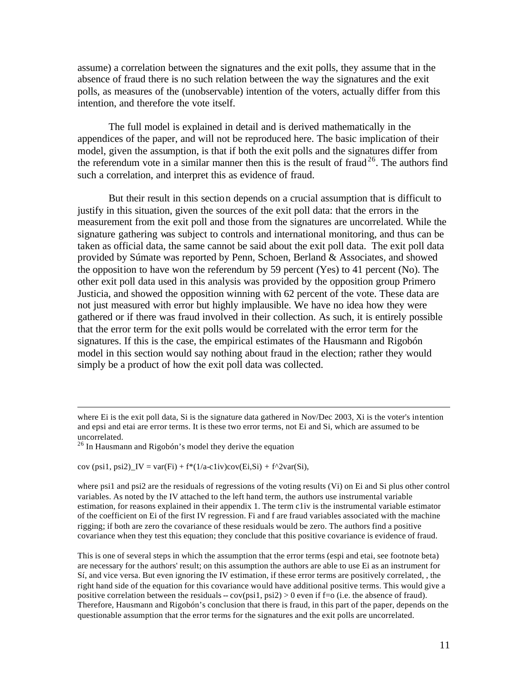assume) a correlation between the signatures and the exit polls, they assume that in the absence of fraud there is no such relation between the way the signatures and the exit polls, as measures of the (unobservable) intention of the voters, actually differ from this intention, and therefore the vote itself.

The full model is explained in detail and is derived mathematically in the appendices of the paper, and will not be reproduced here. The basic implication of their model, given the assumption, is that if both the exit polls and the signatures differ from the referendum vote in a similar manner then this is the result of fraud<sup>26</sup>. The authors find such a correlation, and interpret this as evidence of fraud.

But their result in this section depends on a crucial assumption that is difficult to justify in this situation, given the sources of the exit poll data: that the errors in the measurement from the exit poll and those from the signatures are uncorrelated. While the signature gathering was subject to controls and international monitoring, and thus can be taken as official data, the same cannot be said about the exit poll data. The exit poll data provided by Súmate was reported by Penn, Schoen, Berland & Associates, and showed the opposition to have won the referendum by 59 percent (Yes) to 41 percent (No). The other exit poll data used in this analysis was provided by the opposition group Primero Justicia, and showed the opposition winning with 62 percent of the vote. These data are not just measured with error but highly implausible. We have no idea how they were gathered or if there was fraud involved in their collection. As such, it is entirely possible that the error term for the exit polls would be correlated with the error term for the signatures. If this is the case, the empirical estimates of the Hausmann and Rigobón model in this section would say nothing about fraud in the election; rather they would simply be a product of how the exit poll data was collected.

 $\overline{a}$ 

cov (psi1, psi2)\_IV = var(Fi) +  $f^*(1/a\text{-}cliv)cov(Ei,Si) + f^{\wedge}2var(Si)$ ,

where psi1 and psi2 are the residuals of regressions of the voting results (Vi) on Ei and Si plus other control variables. As noted by the IV attached to the left hand term, the authors use instrumental variable estimation, for reasons explained in their appendix 1. The term c1iv is the instrumental variable estimator of the coefficient on Ei of the first IV regression. Fi and f are fraud variables associated with the machine rigging; if both are zero the covariance of these residuals would be zero. The authors find a positive covariance when they test this equation; they conclude that this positive covariance is evidence of fraud.

This is one of several steps in which the assumption that the error terms (espi and etai, see footnote beta) are necessary for the authors' result; on this assumption the authors are able to use Ei as an instrument for Sí, and vice versa. But even ignoring the IV estimation, if these error terms are positively correlated, , the right hand side of the equation for this covariance would have additional positive terms. This would give a positive correlation between the residuals --  $cov(psi1, psi2) > 0$  even if f=o (i.e. the absence of fraud). Therefore, Hausmann and Rigobón's conclusion that there is fraud, in this part of the paper, depends on the questionable assumption that the error terms for the signatures and the exit polls are uncorrelated.

where Ei is the exit poll data, Si is the signature data gathered in Nov/Dec 2003, Xi is the voter's intention and epsi and etai are error terms. It is these two error terms, not Ei and Si, which are assumed to be uncorrelated.

 $26$  In Hausmann and Rigobón's model they derive the equation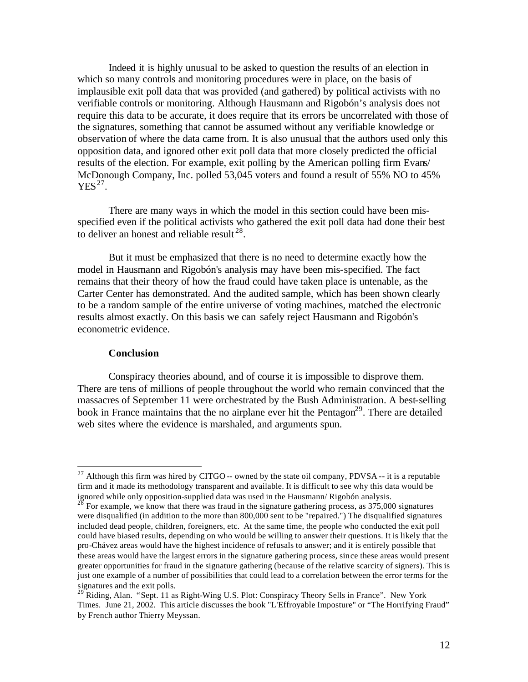Indeed it is highly unusual to be asked to question the results of an election in which so many controls and monitoring procedures were in place, on the basis of implausible exit poll data that was provided (and gathered) by political activists with no verifiable controls or monitoring. Although Hausmann and Rigobón's analysis does not require this data to be accurate, it does require that its errors be uncorrelated with those of the signatures, something that cannot be assumed without any verifiable knowledge or observation of where the data came from. It is also unusual that the authors used only this opposition data, and ignored other exit poll data that more closely predicted the official results of the election. For example, exit polling by the American polling firm Evans/ McDonough Company, Inc. polled 53,045 voters and found a result of 55% NO to 45%  $YES<sup>27</sup>$ .

There are many ways in which the model in this section could have been misspecified even if the political activists who gathered the exit poll data had done their best to deliver an honest and reliable result  $^{28}$ .

But it must be emphasized that there is no need to determine exactly how the model in Hausmann and Rigobón's analysis may have been mis-specified. The fact remains that their theory of how the fraud could have taken place is untenable, as the Carter Center has demonstrated. And the audited sample, which has been shown clearly to be a random sample of the entire universe of voting machines, matched the electronic results almost exactly. On this basis we can safely reject Hausmann and Rigobón's econometric evidence.

#### **Conclusion**

 $\overline{a}$ 

Conspiracy theories abound, and of course it is impossible to disprove them. There are tens of millions of people throughout the world who remain convinced that the massacres of September 11 were orchestrated by the Bush Administration. A best-selling book in France maintains that the no airplane ever hit the Pentagon<sup>29</sup>. There are detailed web sites where the evidence is marshaled, and arguments spun.

<sup>&</sup>lt;sup>27</sup> Although this firm was hired by CITGO -- owned by the state oil company, PDVSA -- it is a reputable firm and it made its methodology transparent and available. It is difficult to see why this data would be ignored while only opposition-supplied data was used in the Hausmann/ Rigobón analysis.

 $^{28}$  For example, we know that there was fraud in the signature gathering process, as 375,000 signatures were disqualified (in addition to the more than 800,000 sent to be "repaired.") The disqualified signatures included dead people, children, foreigners, etc. At the same time, the people who conducted the exit poll could have biased results, depending on who would be willing to answer their questions. It is likely that the pro-Chávez areas would have the highest incidence of refusals to answer; and it is entirely possible that these areas would have the largest errors in the signature gathering process, since these areas would present greater opportunities for fraud in the signature gathering (because of the relative scarcity of signers). This is just one example of a number of possibilities that could lead to a correlation between the error terms for the signatures and the exit polls.

<sup>&</sup>lt;sup>29</sup> Riding, Alan. "Sept. 11 as Right-Wing U.S. Plot: Conspiracy Theory Sells in France". New York Times. June 21, 2002. This article discusses the book "L'Effroyable Imposture" or "The Horrifying Fraud" by French author Thierry Meyssan.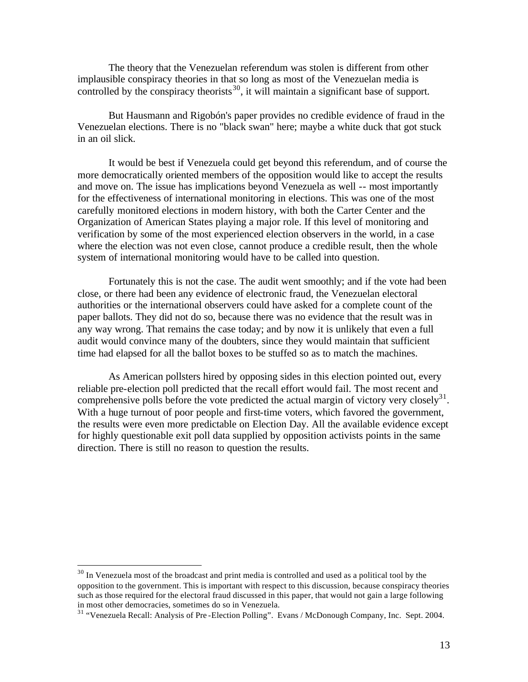The theory that the Venezuelan referendum was stolen is different from other implausible conspiracy theories in that so long as most of the Venezuelan media is controlled by the conspiracy theorists<sup>30</sup>, it will maintain a significant base of support.

But Hausmann and Rigobón's paper provides no credible evidence of fraud in the Venezuelan elections. There is no "black swan" here; maybe a white duck that got stuck in an oil slick.

It would be best if Venezuela could get beyond this referendum, and of course the more democratically oriented members of the opposition would like to accept the results and move on. The issue has implications beyond Venezuela as well -- most importantly for the effectiveness of international monitoring in elections. This was one of the most carefully monitored elections in modern history, with both the Carter Center and the Organization of American States playing a major role. If this level of monitoring and verification by some of the most experienced election observers in the world, in a case where the election was not even close, cannot produce a credible result, then the whole system of international monitoring would have to be called into question.

Fortunately this is not the case. The audit went smoothly; and if the vote had been close, or there had been any evidence of electronic fraud, the Venezuelan electoral authorities or the international observers could have asked for a complete count of the paper ballots. They did not do so, because there was no evidence that the result was in any way wrong. That remains the case today; and by now it is unlikely that even a full audit would convince many of the doubters, since they would maintain that sufficient time had elapsed for all the ballot boxes to be stuffed so as to match the machines.

As American pollsters hired by opposing sides in this election pointed out, every reliable pre-election poll predicted that the recall effort would fail. The most recent and comprehensive polls before the vote predicted the actual margin of victory very closely $^{31}$ . With a huge turnout of poor people and first-time voters, which favored the government, the results were even more predictable on Election Day. All the available evidence except for highly questionable exit poll data supplied by opposition activists points in the same direction. There is still no reason to question the results.

 $30$  In Venezuela most of the broadcast and print media is controlled and used as a political tool by the opposition to the government. This is important with respect to this discussion, because conspiracy theories such as those required for the electoral fraud discussed in this paper, that would not gain a large following in most other democracies, sometimes do so in Venezuela.

<sup>31</sup> "Venezuela Recall: Analysis of Pre -Election Polling". Evans / McDonough Company, Inc. Sept. 2004.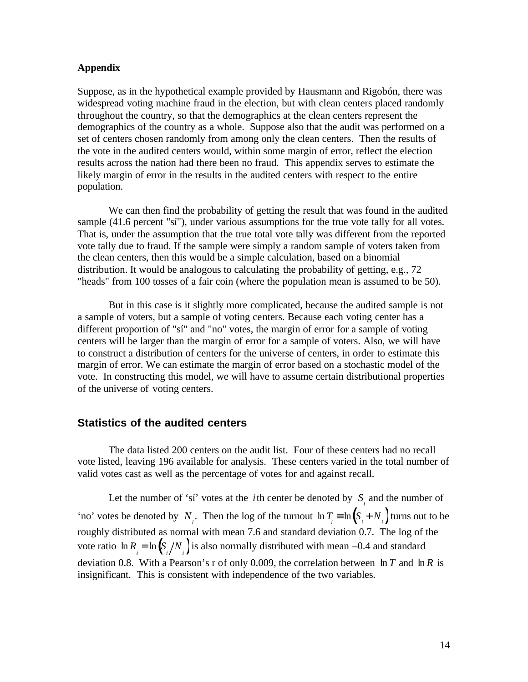#### **Appendix**

Suppose, as in the hypothetical example provided by Hausmann and Rigobón, there was widespread voting machine fraud in the election, but with clean centers placed randomly throughout the country, so that the demographics at the clean centers represent the demographics of the country as a whole. Suppose also that the audit was performed on a set of centers chosen randomly from among only the clean centers. Then the results of the vote in the audited centers would, within some margin of error, reflect the election results across the nation had there been no fraud. This appendix serves to estimate the likely margin of error in the results in the audited centers with respect to the entire population.

We can then find the probability of getting the result that was found in the audited sample (41.6 percent "sí"), under various assumptions for the true vote tally for all votes. That is, under the assumption that the true total vote tally was different from the reported vote tally due to fraud. If the sample were simply a random sample of voters taken from the clean centers, then this would be a simple calculation, based on a binomial distribution. It would be analogous to calculating the probability of getting, e.g., 72 "heads" from 100 tosses of a fair coin (where the population mean is assumed to be 50).

But in this case is it slightly more complicated, because the audited sample is not a sample of voters, but a sample of voting centers. Because each voting center has a different proportion of "sí" and "no" votes, the margin of error for a sample of voting centers will be larger than the margin of error for a sample of voters. Also, we will have to construct a distribution of centers for the universe of centers, in order to estimate this margin of error. We can estimate the margin of error based on a stochastic model of the vote. In constructing this model, we will have to assume certain distributional properties of the universe of voting centers.

#### **Statistics of the audited centers**

The data listed 200 centers on the audit list. Four of these centers had no recall vote listed, leaving 196 available for analysis. These centers varied in the total number of valid votes cast as well as the percentage of votes for and against recall.

Let the number of 'sí' votes at the *i*th center be denoted by  $S_i$  and the number of 'no' votes be denoted by *N*<sub>*i*</sub>. Then the log of the turnout  $\ln T_i \equiv \ln(S_i + N_i)$  turns out to be roughly distributed as normal with mean 7.6 and standard deviation 0.7. The log of the vote ratio  $\ln R_i = \ln \left( \frac{S_i}{N_i} \right)$  is also normally distributed with mean –0.4 and standard deviation 0.8. With a Pearson's r of only 0.009, the correlation between ln *T* and ln *R* is insignificant. This is consistent with independence of the two variables.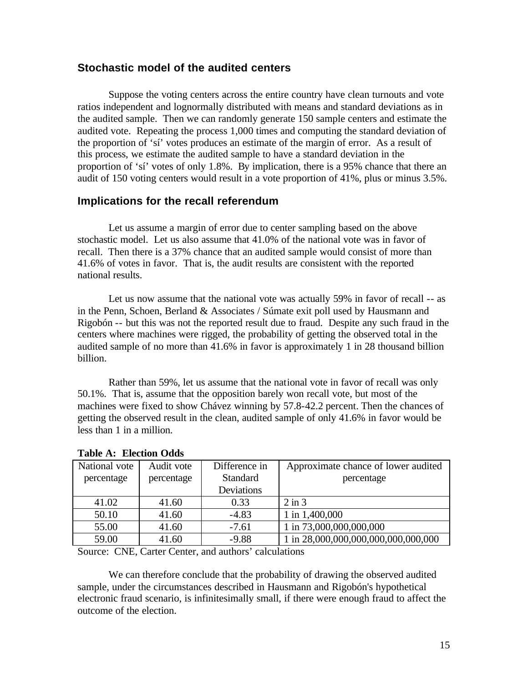### **Stochastic model of the audited centers**

Suppose the voting centers across the entire country have clean turnouts and vote ratios independent and lognormally distributed with means and standard deviations as in the audited sample. Then we can randomly generate 150 sample centers and estimate the audited vote. Repeating the process 1,000 times and computing the standard deviation of the proportion of 'sí' votes produces an estimate of the margin of error. As a result of this process, we estimate the audited sample to have a standard deviation in the proportion of 'sí' votes of only 1.8%. By implication, there is a 95% chance that there an audit of 150 voting centers would result in a vote proportion of 41%, plus or minus 3.5%.

### **Implications for the recall referendum**

Let us assume a margin of error due to center sampling based on the above stochastic model. Let us also assume that 41.0% of the national vote was in favor of recall. Then there is a 37% chance that an audited sample would consist of more than 41.6% of votes in favor. That is, the audit results are consistent with the reported national results.

Let us now assume that the national vote was actually 59% in favor of recall -- as in the Penn, Schoen, Berland & Associates / Súmate exit poll used by Hausmann and Rigobón -- but this was not the reported result due to fraud. Despite any such fraud in the centers where machines were rigged, the probability of getting the observed total in the audited sample of no more than 41.6% in favor is approximately 1 in 28 thousand billion billion.

Rather than 59%, let us assume that the national vote in favor of recall was only 50.1%. That is, assume that the opposition barely won recall vote, but most of the machines were fixed to show Chávez winning by 57.8-42.2 percent. Then the chances of getting the observed result in the clean, audited sample of only 41.6% in favor would be less than 1 in a million.

| National vote | Audit vote | Difference in   | Approximate chance of lower audited |
|---------------|------------|-----------------|-------------------------------------|
| percentage    | percentage | <b>Standard</b> | percentage                          |
|               |            | Deviations      |                                     |
| 41.02         | 41.60      | 0.33            | $2 \text{ in } 3$                   |
| 50.10         | 41.60      | $-4.83$         | 1 in 1,400,000                      |
| 55.00         | 41.60      | $-7.61$         | 1 in 73,000,000,000,000             |
| 59.00         | 41.60      | $-9.88$         | 1 in 28,000,000,000,000,000,000,000 |

#### **Table A: Election Odds**

Source: CNE, Carter Center, and authors' calculations

We can therefore conclude that the probability of drawing the observed audited sample, under the circumstances described in Hausmann and Rigobón's hypothetical electronic fraud scenario, is infinitesimally small, if there were enough fraud to affect the outcome of the election.